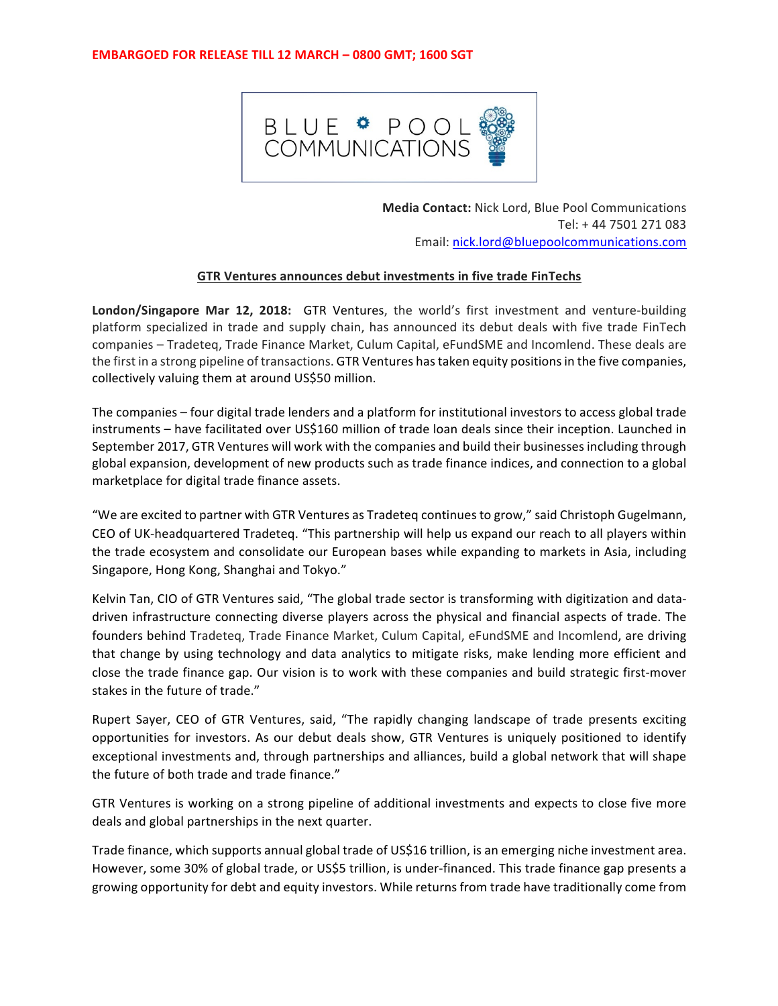

**Media Contact:** Nick Lord, Blue Pool Communications Tel: + 44 7501 271 083 Email: nick.lord@bluepoolcommunications.com

## **GTR Ventures announces debut investments in five trade FinTechs**

**London/Singapore Mar 12, 2018:** GTR Ventures, the world's first investment and venture-building platform specialized in trade and supply chain, has announced its debut deals with five trade FinTech companies – Tradeteg, Trade Finance Market, Culum Capital, eFundSME and Incomlend. These deals are the first in a strong pipeline of transactions. GTR Ventures has taken equity positions in the five companies, collectively valuing them at around US\$50 million.

The companies – four digital trade lenders and a platform for institutional investors to access global trade instruments – have facilitated over US\$160 million of trade loan deals since their inception. Launched in September 2017, GTR Ventures will work with the companies and build their businesses including through global expansion, development of new products such as trade finance indices, and connection to a global marketplace for digital trade finance assets.

"We are excited to partner with GTR Ventures as Tradeteq continues to grow," said Christoph Gugelmann, CEO of UK-headquartered Tradeteq. "This partnership will help us expand our reach to all players within the trade ecosystem and consolidate our European bases while expanding to markets in Asia, including Singapore, Hong Kong, Shanghai and Tokyo."

Kelvin Tan, CIO of GTR Ventures said, "The global trade sector is transforming with digitization and datadriven infrastructure connecting diverse players across the physical and financial aspects of trade. The founders behind Tradeteq, Trade Finance Market, Culum Capital, eFundSME and Incomlend, are driving that change by using technology and data analytics to mitigate risks, make lending more efficient and close the trade finance gap. Our vision is to work with these companies and build strategic first-mover stakes in the future of trade."

Rupert Sayer, CEO of GTR Ventures, said, "The rapidly changing landscape of trade presents exciting opportunities for investors. As our debut deals show, GTR Ventures is uniquely positioned to identify exceptional investments and, through partnerships and alliances, build a global network that will shape the future of both trade and trade finance."

GTR Ventures is working on a strong pipeline of additional investments and expects to close five more deals and global partnerships in the next quarter.

Trade finance, which supports annual global trade of US\$16 trillion, is an emerging niche investment area. However, some 30% of global trade, or US\$5 trillion, is under-financed. This trade finance gap presents a growing opportunity for debt and equity investors. While returns from trade have traditionally come from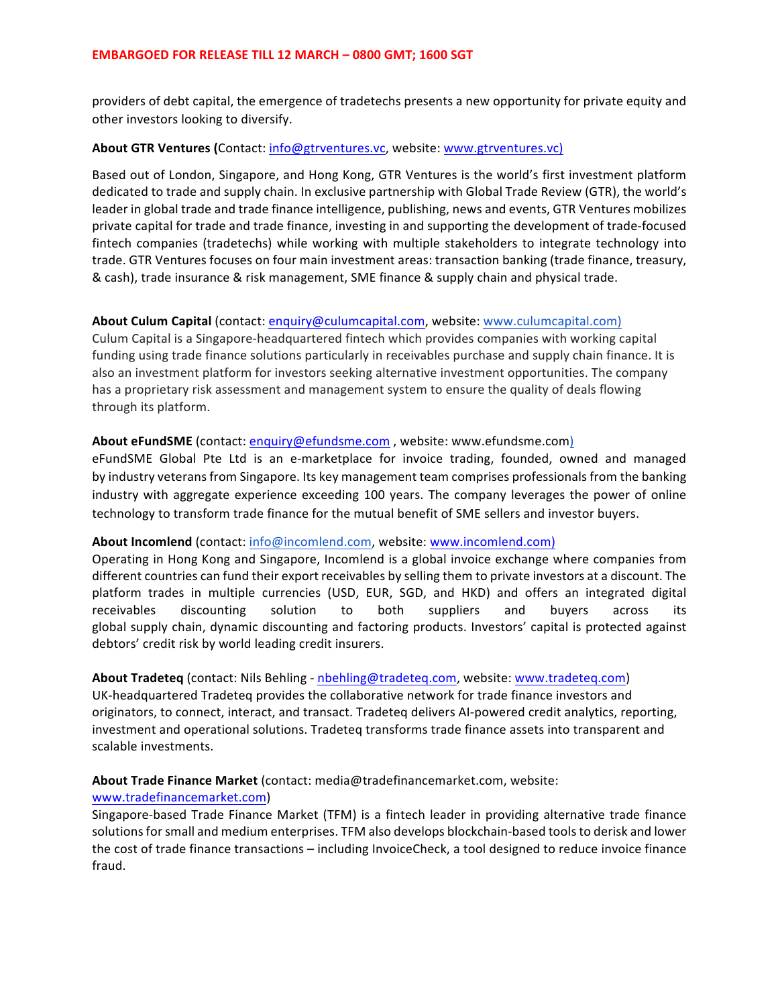providers of debt capital, the emergence of tradetechs presents a new opportunity for private equity and other investors looking to diversify.

## About GTR Ventures (Contact: info@gtrventures.vc, website: www.gtrventures.vc)

Based out of London, Singapore, and Hong Kong, GTR Ventures is the world's first investment platform dedicated to trade and supply chain. In exclusive partnership with Global Trade Review (GTR), the world's leader in global trade and trade finance intelligence, publishing, news and events, GTR Ventures mobilizes private capital for trade and trade finance, investing in and supporting the development of trade-focused fintech companies (tradetechs) while working with multiple stakeholders to integrate technology into trade. GTR Ventures focuses on four main investment areas: transaction banking (trade finance, treasury, & cash), trade insurance & risk management, SME finance & supply chain and physical trade.

### **About Culum Capital** (contact: enquiry@culumcapital.com, website: www.culumcapital.com)

Culum Capital is a Singapore-headquartered fintech which provides companies with working capital funding using trade finance solutions particularly in receivables purchase and supply chain finance. It is also an investment platform for investors seeking alternative investment opportunities. The company has a proprietary risk assessment and management system to ensure the quality of deals flowing through its platform.

### **About eFundSME** (contact: enquiry@efundsme.com, website: www.efundsme.com)

eFundSME Global Pte Ltd is an e-marketplace for invoice trading, founded, owned and managed by industry veterans from Singapore. Its key management team comprises professionals from the banking industry with aggregate experience exceeding 100 years. The company leverages the power of online technology to transform trade finance for the mutual benefit of SME sellers and investor buyers.

## About Incomlend (contact: info@incomlend.com, website: www.incomlend.com)

Operating in Hong Kong and Singapore, Incomlend is a global invoice exchange where companies from different countries can fund their export receivables by selling them to private investors at a discount. The platform trades in multiple currencies (USD, EUR, SGD, and HKD) and offers an integrated digital receivables discounting solution to both suppliers and buyers across its global supply chain, dynamic discounting and factoring products. Investors' capital is protected against debtors' credit risk by world leading credit insurers.

#### **About Tradeteq** (contact: Nils Behling - nbehling@tradeteq.com, website: www.tradeteq.com)

UK-headquartered Tradeteq provides the collaborative network for trade finance investors and originators, to connect, interact, and transact. Tradeteq delivers AI-powered credit analytics, reporting, investment and operational solutions. Tradeteq transforms trade finance assets into transparent and scalable investments.

About Trade Finance Market (contact: media@tradefinancemarket.com, website:

#### www.tradefinancemarket.com)

Singapore-based Trade Finance Market (TFM) is a fintech leader in providing alternative trade finance solutions for small and medium enterprises. TFM also develops blockchain-based tools to derisk and lower the cost of trade finance transactions – including InvoiceCheck, a tool designed to reduce invoice finance fraud.